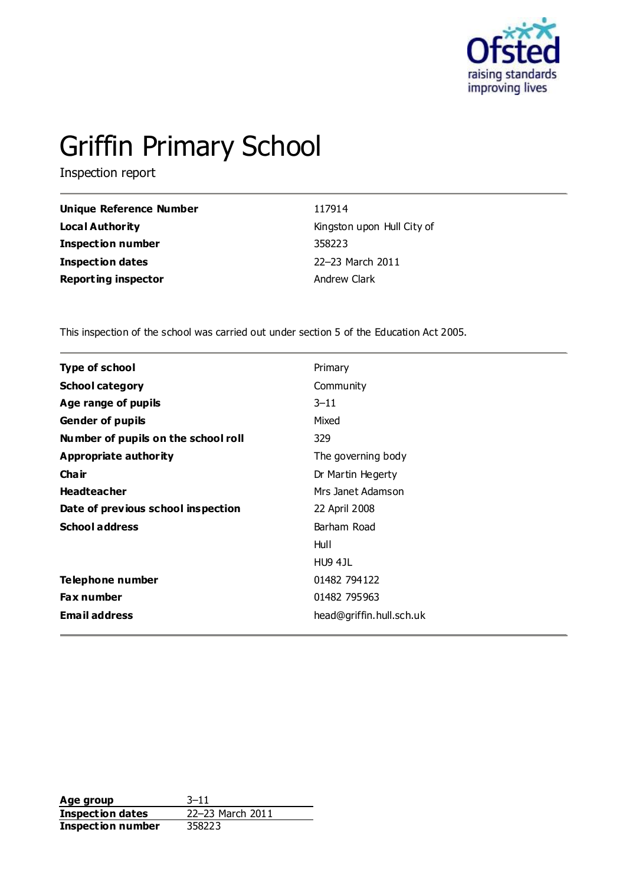

# Griffin Primary School

Inspection report

| Unique Reference Number    | 117914                     |
|----------------------------|----------------------------|
| <b>Local Authority</b>     | Kingston upon Hull City of |
| <b>Inspection number</b>   | 358223                     |
| Inspection dates           | 22-23 March 2011           |
| <b>Reporting inspector</b> | Andrew Clark               |

This inspection of the school was carried out under section 5 of the Education Act 2005.

| <b>Type of school</b>               | Primary                  |
|-------------------------------------|--------------------------|
| <b>School category</b>              | Community                |
| Age range of pupils                 | $3 - 11$                 |
| <b>Gender of pupils</b>             | Mixed                    |
| Number of pupils on the school roll | 329                      |
| <b>Appropriate authority</b>        | The governing body       |
| Cha ir                              | Dr Martin Hegerty        |
| <b>Headteacher</b>                  | Mrs Janet Adamson        |
| Date of previous school inspection  | 22 April 2008            |
| <b>School address</b>               | Barham Road              |
|                                     | Hull                     |
|                                     | <b>HU9 4JL</b>           |
| Telephone number                    | 01482 794122             |
| <b>Fax number</b>                   | 01482 795963             |
| <b>Email address</b>                | head@griffin.hull.sch.uk |

**Age group** 3-11<br> **Inspection dates** 22-23 March 2011 **Inspection dates Inspection number** 358223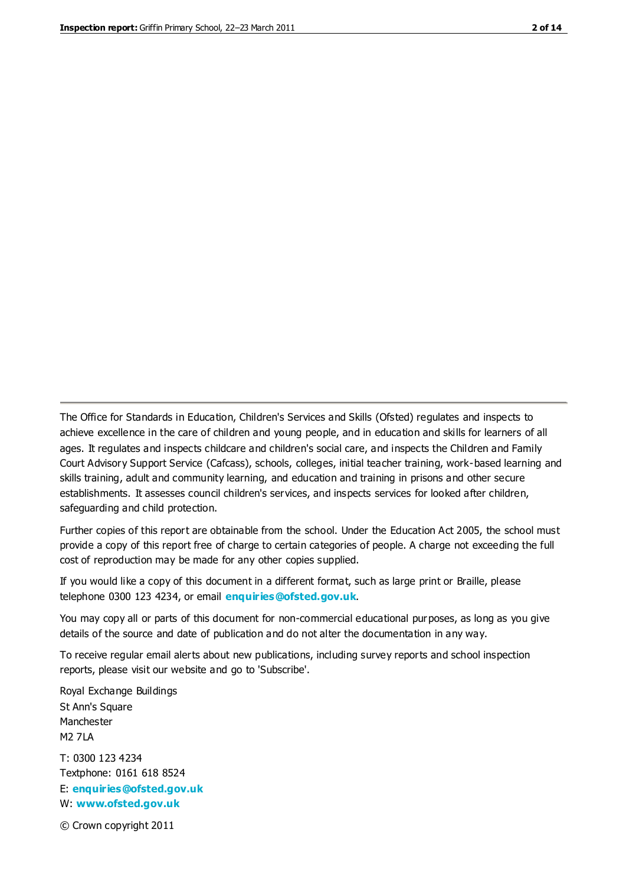The Office for Standards in Education, Children's Services and Skills (Ofsted) regulates and inspects to achieve excellence in the care of children and young people, and in education and skills for learners of all ages. It regulates and inspects childcare and children's social care, and inspects the Children and Family Court Advisory Support Service (Cafcass), schools, colleges, initial teacher training, work-based learning and skills training, adult and community learning, and education and training in prisons and other secure establishments. It assesses council children's services, and inspects services for looked after children, safeguarding and child protection.

Further copies of this report are obtainable from the school. Under the Education Act 2005, the school must provide a copy of this report free of charge to certain categories of people. A charge not exceeding the full cost of reproduction may be made for any other copies supplied.

If you would like a copy of this document in a different format, such as large print or Braille, please telephone 0300 123 4234, or email **[enquiries@ofsted.gov.uk](mailto:enquiries@ofsted.gov.uk)**.

You may copy all or parts of this document for non-commercial educational purposes, as long as you give details of the source and date of publication and do not alter the documentation in any way.

To receive regular email alerts about new publications, including survey reports and school inspection reports, please visit our website and go to 'Subscribe'.

Royal Exchange Buildings St Ann's Square Manchester M2 7LA T: 0300 123 4234 Textphone: 0161 618 8524 E: **[enquiries@ofsted.gov.uk](mailto:enquiries@ofsted.gov.uk)**

W: **[www.ofsted.gov.uk](http://www.ofsted.gov.uk/)**

© Crown copyright 2011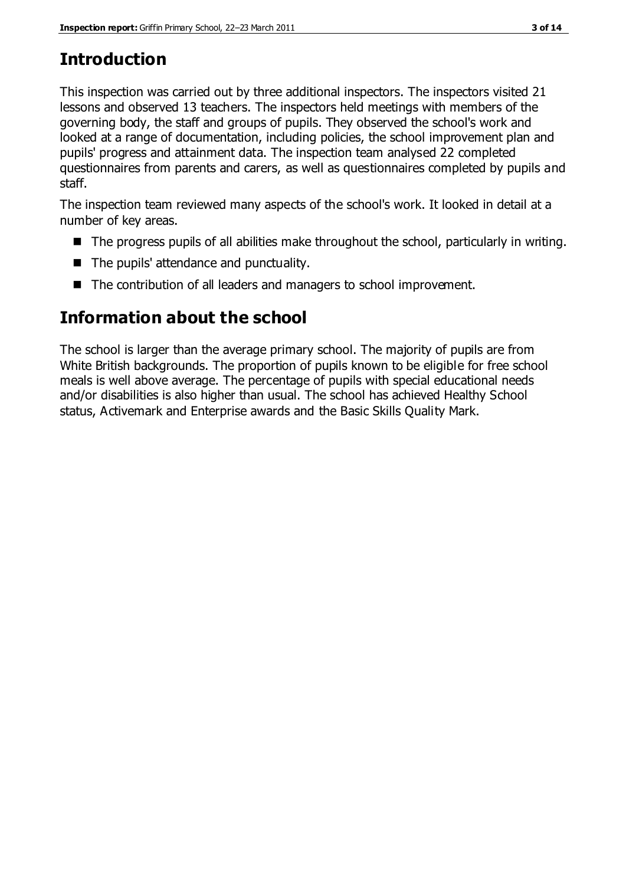# **Introduction**

This inspection was carried out by three additional inspectors. The inspectors visited 21 lessons and observed 13 teachers. The inspectors held meetings with members of the governing body, the staff and groups of pupils. They observed the school's work and looked at a range of documentation, including policies, the school improvement plan and pupils' progress and attainment data. The inspection team analysed 22 completed questionnaires from parents and carers, as well as questionnaires completed by pupils and staff.

The inspection team reviewed many aspects of the school's work. It looked in detail at a number of key areas.

- The progress pupils of all abilities make throughout the school, particularly in writing.
- The pupils' attendance and punctuality.
- The contribution of all leaders and managers to school improvement.

# **Information about the school**

The school is larger than the average primary school. The majority of pupils are from White British backgrounds. The proportion of pupils known to be eligible for free school meals is well above average. The percentage of pupils with special educational needs and/or disabilities is also higher than usual. The school has achieved Healthy School status, Activemark and Enterprise awards and the Basic Skills Quality Mark.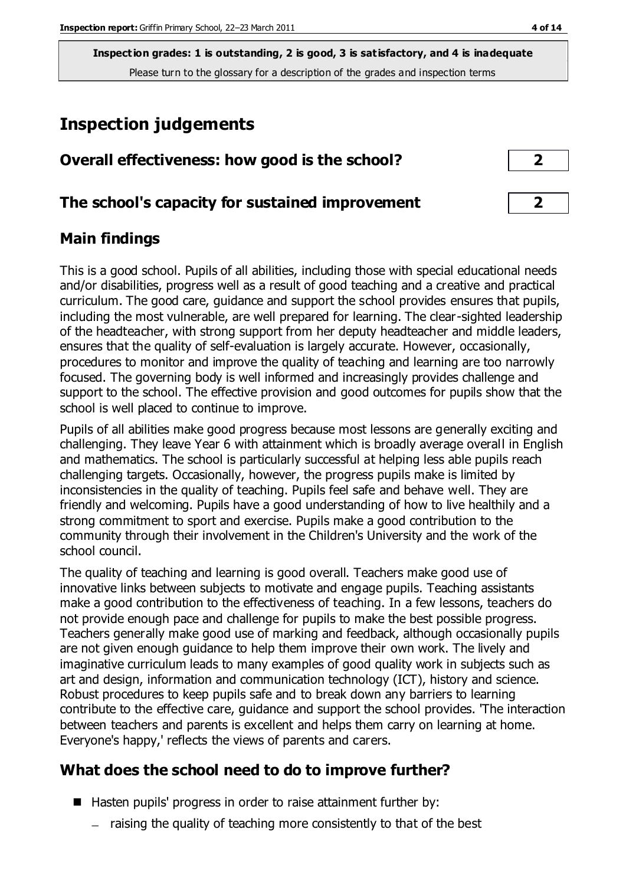## **Inspection judgements**

| Overall effectiveness: how good is the school? |  |
|------------------------------------------------|--|
|------------------------------------------------|--|

#### **The school's capacity for sustained improvement 2**

#### **Main findings**

This is a good school. Pupils of all abilities, including those with special educational needs and/or disabilities, progress well as a result of good teaching and a creative and practical curriculum. The good care, guidance and support the school provides ensures that pupils, including the most vulnerable, are well prepared for learning. The clear-sighted leadership of the headteacher, with strong support from her deputy headteacher and middle leaders, ensures that the quality of self-evaluation is largely accurate. However, occasionally, procedures to monitor and improve the quality of teaching and learning are too narrowly focused. The governing body is well informed and increasingly provides challenge and support to the school. The effective provision and good outcomes for pupils show that the school is well placed to continue to improve.

Pupils of all abilities make good progress because most lessons are generally exciting and challenging. They leave Year 6 with attainment which is broadly average overall in English and mathematics. The school is particularly successful at helping less able pupils reach challenging targets. Occasionally, however, the progress pupils make is limited by inconsistencies in the quality of teaching. Pupils feel safe and behave well. They are friendly and welcoming. Pupils have a good understanding of how to live healthily and a strong commitment to sport and exercise. Pupils make a good contribution to the community through their involvement in the Children's University and the work of the school council.

The quality of teaching and learning is good overall. Teachers make good use of innovative links between subjects to motivate and engage pupils. Teaching assistants make a good contribution to the effectiveness of teaching. In a few lessons, teachers do not provide enough pace and challenge for pupils to make the best possible progress. Teachers generally make good use of marking and feedback, although occasionally pupils are not given enough guidance to help them improve their own work. The lively and imaginative curriculum leads to many examples of good quality work in subjects such as art and design, information and communication technology (ICT), history and science. Robust procedures to keep pupils safe and to break down any barriers to learning contribute to the effective care, guidance and support the school provides. 'The interaction between teachers and parents is excellent and helps them carry on learning at home. Everyone's happy,' reflects the views of parents and carers.

## **What does the school need to do to improve further?**

- Hasten pupils' progress in order to raise attainment further by:
	- $-$  raising the quality of teaching more consistently to that of the best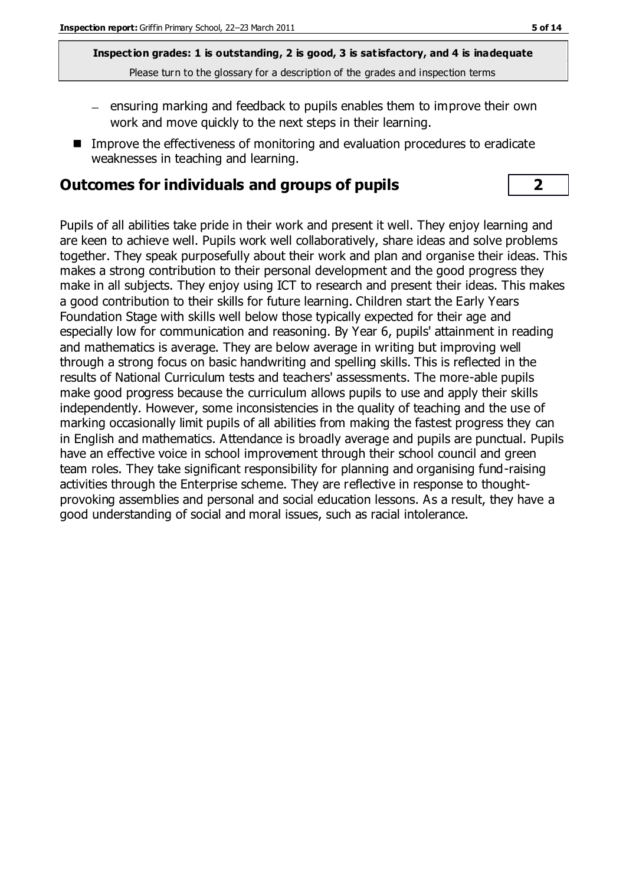- $-$  ensuring marking and feedback to pupils enables them to improve their own work and move quickly to the next steps in their learning.
- Improve the effectiveness of monitoring and evaluation procedures to eradicate weaknesses in teaching and learning.

#### **Outcomes for individuals and groups of pupils 2**

Pupils of all abilities take pride in their work and present it well. They enjoy learning and are keen to achieve well. Pupils work well collaboratively, share ideas and solve problems together. They speak purposefully about their work and plan and organise their ideas. This makes a strong contribution to their personal development and the good progress they make in all subjects. They enjoy using ICT to research and present their ideas. This makes a good contribution to their skills for future learning. Children start the Early Years Foundation Stage with skills well below those typically expected for their age and especially low for communication and reasoning. By Year 6, pupils' attainment in reading and mathematics is average. They are below average in writing but improving well through a strong focus on basic handwriting and spelling skills. This is reflected in the results of National Curriculum tests and teachers' assessments. The more-able pupils make good progress because the curriculum allows pupils to use and apply their skills independently. However, some inconsistencies in the quality of teaching and the use of marking occasionally limit pupils of all abilities from making the fastest progress they can in English and mathematics. Attendance is broadly average and pupils are punctual. Pupils have an effective voice in school improvement through their school council and green team roles. They take significant responsibility for planning and organising fund-raising activities through the Enterprise scheme. They are reflective in response to thoughtprovoking assemblies and personal and social education lessons. As a result, they have a good understanding of social and moral issues, such as racial intolerance.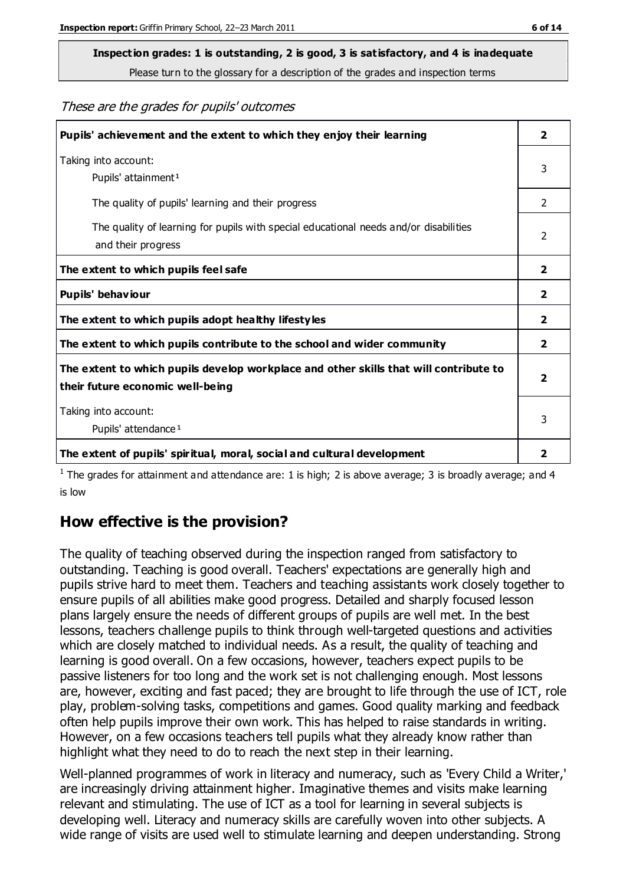# **Inspection grades: 1 is outstanding, 2 is good, 3 is satisfactory, and 4 is inadequate**

Please turn to the glossary for a description of the grades and inspection terms

#### These are the grades for pupils' outcomes

| Pupils' achievement and the extent to which they enjoy their learning                                                     | $\overline{2}$          |
|---------------------------------------------------------------------------------------------------------------------------|-------------------------|
| Taking into account:<br>Pupils' attainment <sup>1</sup>                                                                   | 3                       |
| The quality of pupils' learning and their progress                                                                        | $\mathcal{P}$           |
| The quality of learning for pupils with special educational needs and/or disabilities<br>and their progress               | 2                       |
| The extent to which pupils feel safe                                                                                      | $\mathbf{2}$            |
| Pupils' behaviour                                                                                                         | 2                       |
| The extent to which pupils adopt healthy lifestyles                                                                       | 2                       |
| The extent to which pupils contribute to the school and wider community                                                   | $\overline{2}$          |
| The extent to which pupils develop workplace and other skills that will contribute to<br>their future economic well-being | $\overline{\mathbf{2}}$ |
| Taking into account:<br>Pupils' attendance <sup>1</sup>                                                                   | 3                       |
| The extent of pupils' spiritual, moral, social and cultural development                                                   | $\overline{\mathbf{2}}$ |

<sup>1</sup> The grades for attainment and attendance are: 1 is high; 2 is above average; 3 is broadly average; and 4 is low

#### **How effective is the provision?**

The quality of teaching observed during the inspection ranged from satisfactory to outstanding. Teaching is good overall. Teachers' expectations are generally high and pupils strive hard to meet them. Teachers and teaching assistants work closely together to ensure pupils of all abilities make good progress. Detailed and sharply focused lesson plans largely ensure the needs of different groups of pupils are well met. In the best lessons, teachers challenge pupils to think through well-targeted questions and activities which are closely matched to individual needs. As a result, the quality of teaching and learning is good overall. On a few occasions, however, teachers expect pupils to be passive listeners for too long and the work set is not challenging enough. Most lessons are, however, exciting and fast paced; they are brought to life through the use of ICT, role play, problem-solving tasks, competitions and games. Good quality marking and feedback often help pupils improve their own work. This has helped to raise standards in writing. However, on a few occasions teachers tell pupils what they already know rather than highlight what they need to do to reach the next step in their learning.

Well-planned programmes of work in literacy and numeracy, such as 'Every Child a Writer,' are increasingly driving attainment higher. Imaginative themes and visits make learning relevant and stimulating. The use of ICT as a tool for learning in several subjects is developing well. Literacy and numeracy skills are carefully woven into other subjects. A wide range of visits are used well to stimulate learning and deepen understanding. Strong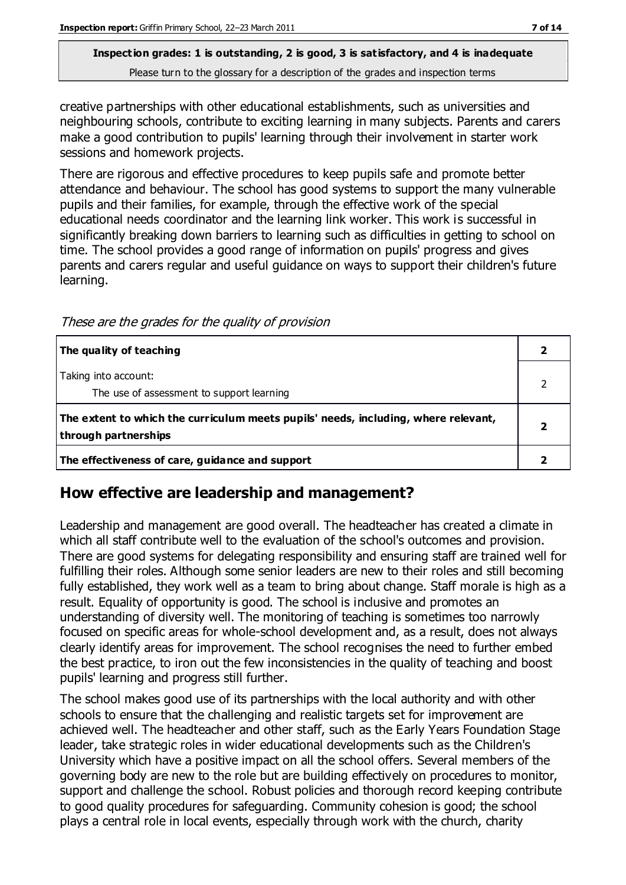creative partnerships with other educational establishments, such as universities and neighbouring schools, contribute to exciting learning in many subjects. Parents and carers make a good contribution to pupils' learning through their involvement in starter work sessions and homework projects.

There are rigorous and effective procedures to keep pupils safe and promote better attendance and behaviour. The school has good systems to support the many vulnerable pupils and their families, for example, through the effective work of the special educational needs coordinator and the learning link worker. This work is successful in significantly breaking down barriers to learning such as difficulties in getting to school on time. The school provides a good range of information on pupils' progress and gives parents and carers regular and useful guidance on ways to support their children's future learning.

These are the grades for the quality of provision

| The quality of teaching                                                                                    |  |
|------------------------------------------------------------------------------------------------------------|--|
| Taking into account:<br>The use of assessment to support learning                                          |  |
| The extent to which the curriculum meets pupils' needs, including, where relevant,<br>through partnerships |  |
| The effectiveness of care, guidance and support                                                            |  |

## **How effective are leadership and management?**

Leadership and management are good overall. The headteacher has created a climate in which all staff contribute well to the evaluation of the school's outcomes and provision. There are good systems for delegating responsibility and ensuring staff are trained well for fulfilling their roles. Although some senior leaders are new to their roles and still becoming fully established, they work well as a team to bring about change. Staff morale is high as a result. Equality of opportunity is good. The school is inclusive and promotes an understanding of diversity well. The monitoring of teaching is sometimes too narrowly focused on specific areas for whole-school development and, as a result, does not always clearly identify areas for improvement. The school recognises the need to further embed the best practice, to iron out the few inconsistencies in the quality of teaching and boost pupils' learning and progress still further.

The school makes good use of its partnerships with the local authority and with other schools to ensure that the challenging and realistic targets set for improvement are achieved well. The headteacher and other staff, such as the Early Years Foundation Stage leader, take strategic roles in wider educational developments such as the Children's University which have a positive impact on all the school offers. Several members of the governing body are new to the role but are building effectively on procedures to monitor, support and challenge the school. Robust policies and thorough record keeping contribute to good quality procedures for safeguarding. Community cohesion is good; the school plays a central role in local events, especially through work with the church, charity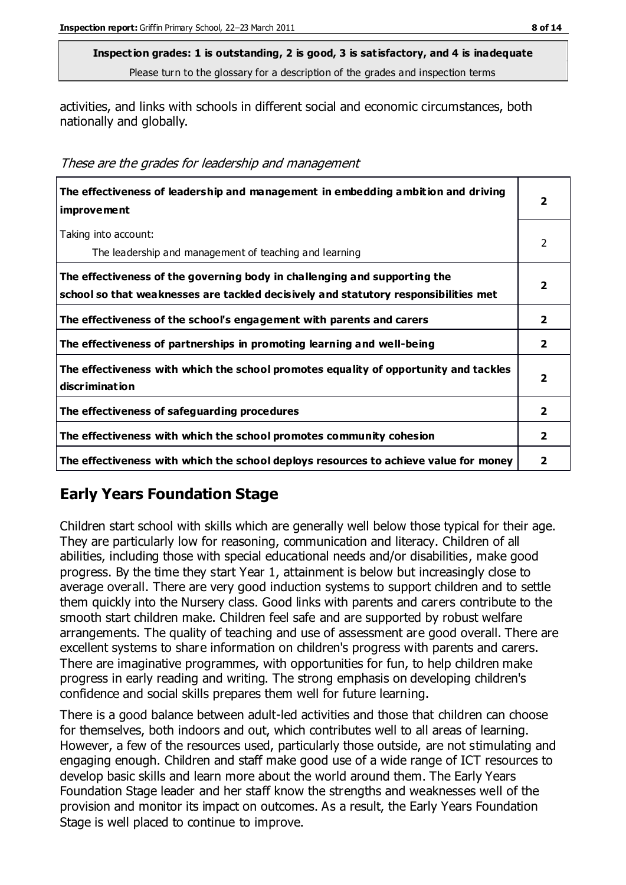activities, and links with schools in different social and economic circumstances, both nationally and globally.

|  | These are the grades for leadership and management |
|--|----------------------------------------------------|
|--|----------------------------------------------------|

| The effectiveness of leadership and management in embedding ambition and driving<br><i>improvement</i>                                                           | 2              |
|------------------------------------------------------------------------------------------------------------------------------------------------------------------|----------------|
| Taking into account:<br>The leadership and management of teaching and learning                                                                                   | 2              |
| The effectiveness of the governing body in challenging and supporting the<br>school so that weaknesses are tackled decisively and statutory responsibilities met | 2              |
| The effectiveness of the school's engagement with parents and carers                                                                                             | $\overline{2}$ |
| The effectiveness of partnerships in promoting learning and well-being                                                                                           | $\overline{2}$ |
| The effectiveness with which the school promotes equality of opportunity and tackles<br>discrimination                                                           | 2              |
| The effectiveness of safeguarding procedures                                                                                                                     | $\overline{2}$ |
| The effectiveness with which the school promotes community cohesion                                                                                              | 2              |
| The effectiveness with which the school deploys resources to achieve value for money                                                                             | 2              |

## **Early Years Foundation Stage**

Children start school with skills which are generally well below those typical for their age. They are particularly low for reasoning, communication and literacy. Children of all abilities, including those with special educational needs and/or disabilities, make good progress. By the time they start Year 1, attainment is below but increasingly close to average overall. There are very good induction systems to support children and to settle them quickly into the Nursery class. Good links with parents and carers contribute to the smooth start children make. Children feel safe and are supported by robust welfare arrangements. The quality of teaching and use of assessment are good overall. There are excellent systems to share information on children's progress with parents and carers. There are imaginative programmes, with opportunities for fun, to help children make progress in early reading and writing. The strong emphasis on developing children's confidence and social skills prepares them well for future learning.

There is a good balance between adult-led activities and those that children can choose for themselves, both indoors and out, which contributes well to all areas of learning. However, a few of the resources used, particularly those outside, are not stimulating and engaging enough. Children and staff make good use of a wide range of ICT resources to develop basic skills and learn more about the world around them. The Early Years Foundation Stage leader and her staff know the strengths and weaknesses well of the provision and monitor its impact on outcomes. As a result, the Early Years Foundation Stage is well placed to continue to improve.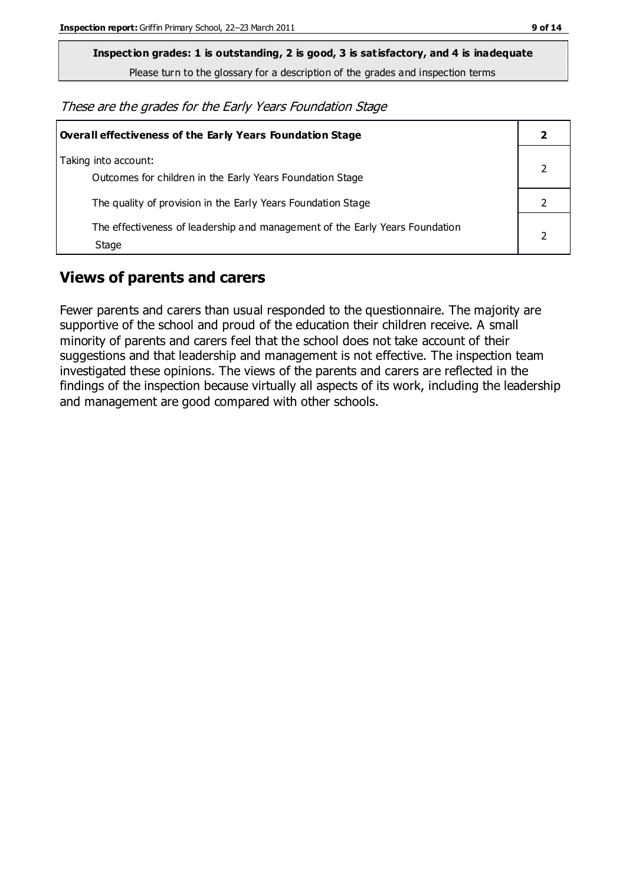**Inspection grades: 1 is outstanding, 2 is good, 3 is satisfactory, and 4 is inadequate**

Please turn to the glossary for a description of the grades and inspection terms

These are the grades for the Early Years Foundation Stage

| Overall effectiveness of the Early Years Foundation Stage                             |  |
|---------------------------------------------------------------------------------------|--|
| Taking into account:<br>Outcomes for children in the Early Years Foundation Stage     |  |
| The quality of provision in the Early Years Foundation Stage                          |  |
| The effectiveness of leadership and management of the Early Years Foundation<br>Stage |  |

## **Views of parents and carers**

Fewer parents and carers than usual responded to the questionnaire. The majority are supportive of the school and proud of the education their children receive. A small minority of parents and carers feel that the school does not take account of their suggestions and that leadership and management is not effective. The inspection team investigated these opinions. The views of the parents and carers are reflected in the findings of the inspection because virtually all aspects of its work, including the leadership and management are good compared with other schools.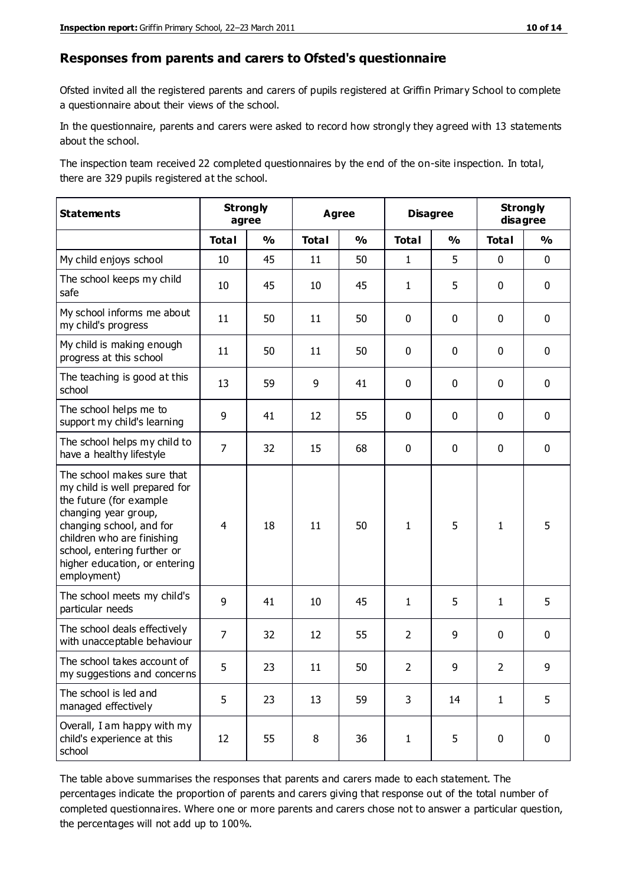#### **Responses from parents and carers to Ofsted's questionnaire**

Ofsted invited all the registered parents and carers of pupils registered at Griffin Primary School to complete a questionnaire about their views of the school.

In the questionnaire, parents and carers were asked to record how strongly they agreed with 13 statements about the school.

The inspection team received 22 completed questionnaires by the end of the on-site inspection. In total, there are 329 pupils registered at the school.

| <b>Statements</b>                                                                                                                                                                                                                                       | <b>Strongly</b><br>agree |               | <b>Agree</b> |               | <b>Disagree</b> |               | <b>Strongly</b><br>disagree |               |
|---------------------------------------------------------------------------------------------------------------------------------------------------------------------------------------------------------------------------------------------------------|--------------------------|---------------|--------------|---------------|-----------------|---------------|-----------------------------|---------------|
|                                                                                                                                                                                                                                                         | <b>Total</b>             | $\frac{1}{2}$ | <b>Total</b> | $\frac{1}{2}$ | <b>Total</b>    | $\frac{1}{2}$ | <b>Total</b>                | $\frac{1}{2}$ |
| My child enjoys school                                                                                                                                                                                                                                  | 10                       | 45            | 11           | 50            | $\mathbf{1}$    | 5             | $\mathbf 0$                 | $\mathbf 0$   |
| The school keeps my child<br>safe                                                                                                                                                                                                                       | 10                       | 45            | 10           | 45            | $\mathbf{1}$    | 5             | 0                           | $\mathbf 0$   |
| My school informs me about<br>my child's progress                                                                                                                                                                                                       | 11                       | 50            | 11           | 50            | 0               | 0             | $\mathbf 0$                 | $\mathbf 0$   |
| My child is making enough<br>progress at this school                                                                                                                                                                                                    | 11                       | 50            | 11           | 50            | 0               | 0             | $\mathbf 0$                 | $\mathbf 0$   |
| The teaching is good at this<br>school                                                                                                                                                                                                                  | 13                       | 59            | 9            | 41            | 0               | 0             | $\mathbf 0$                 | $\mathbf 0$   |
| The school helps me to<br>support my child's learning                                                                                                                                                                                                   | 9                        | 41            | 12           | 55            | 0               | 0             | 0                           | $\mathbf 0$   |
| The school helps my child to<br>have a healthy lifestyle                                                                                                                                                                                                | $\overline{7}$           | 32            | 15           | 68            | 0               | 0             | $\mathbf 0$                 | $\mathbf 0$   |
| The school makes sure that<br>my child is well prepared for<br>the future (for example<br>changing year group,<br>changing school, and for<br>children who are finishing<br>school, entering further or<br>higher education, or entering<br>employment) | $\overline{4}$           | 18            | 11           | 50            | $\mathbf{1}$    | 5             | $\mathbf{1}$                | 5             |
| The school meets my child's<br>particular needs                                                                                                                                                                                                         | 9                        | 41            | 10           | 45            | $\mathbf{1}$    | 5             | 1                           | 5             |
| The school deals effectively<br>with unacceptable behaviour                                                                                                                                                                                             | $\overline{7}$           | 32            | 12           | 55            | $\overline{2}$  | 9             | $\mathbf 0$                 | 0             |
| The school takes account of<br>my suggestions and concerns                                                                                                                                                                                              | 5                        | 23            | 11           | 50            | $\overline{2}$  | 9             | $\mathcal{P}$               | 9             |
| The school is led and<br>managed effectively                                                                                                                                                                                                            | 5                        | 23            | 13           | 59            | 3               | 14            | $\mathbf{1}$                | 5             |
| Overall, I am happy with my<br>child's experience at this<br>school                                                                                                                                                                                     | 12                       | 55            | 8            | 36            | $\mathbf{1}$    | 5             | $\mathbf 0$                 | $\mathbf 0$   |

The table above summarises the responses that parents and carers made to each statement. The percentages indicate the proportion of parents and carers giving that response out of the total number of completed questionnaires. Where one or more parents and carers chose not to answer a particular question, the percentages will not add up to 100%.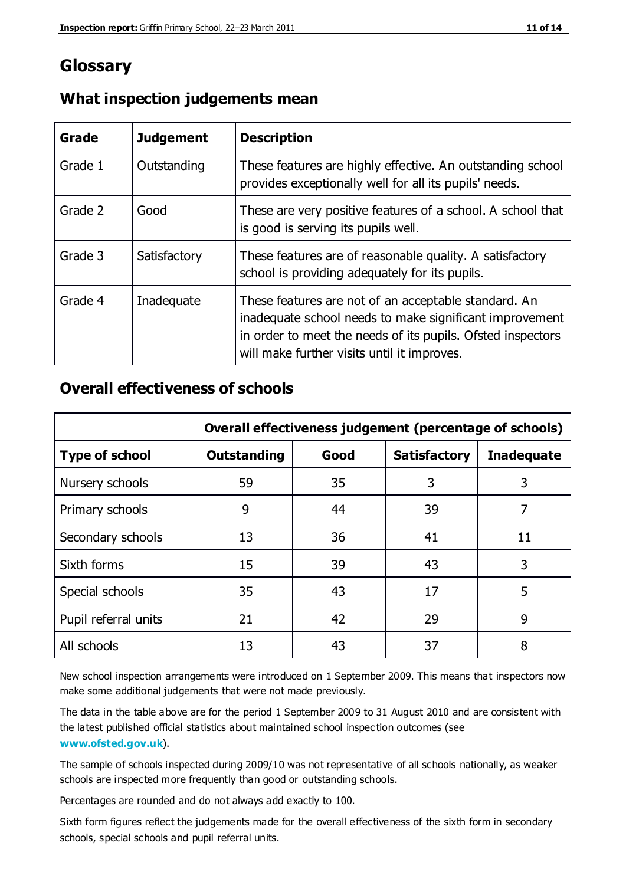## **Glossary**

| Grade   | <b>Judgement</b> | <b>Description</b>                                                                                                                                                                                                            |
|---------|------------------|-------------------------------------------------------------------------------------------------------------------------------------------------------------------------------------------------------------------------------|
| Grade 1 | Outstanding      | These features are highly effective. An outstanding school<br>provides exceptionally well for all its pupils' needs.                                                                                                          |
| Grade 2 | Good             | These are very positive features of a school. A school that<br>is good is serving its pupils well.                                                                                                                            |
| Grade 3 | Satisfactory     | These features are of reasonable quality. A satisfactory<br>school is providing adequately for its pupils.                                                                                                                    |
| Grade 4 | Inadequate       | These features are not of an acceptable standard. An<br>inadequate school needs to make significant improvement<br>in order to meet the needs of its pupils. Ofsted inspectors<br>will make further visits until it improves. |

#### **What inspection judgements mean**

#### **Overall effectiveness of schools**

|                       | Overall effectiveness judgement (percentage of schools) |      |                     |                   |
|-----------------------|---------------------------------------------------------|------|---------------------|-------------------|
| <b>Type of school</b> | <b>Outstanding</b>                                      | Good | <b>Satisfactory</b> | <b>Inadequate</b> |
| Nursery schools       | 59                                                      | 35   | 3                   | 3                 |
| Primary schools       | 9                                                       | 44   | 39                  | 7                 |
| Secondary schools     | 13                                                      | 36   | 41                  | 11                |
| Sixth forms           | 15                                                      | 39   | 43                  | 3                 |
| Special schools       | 35                                                      | 43   | 17                  | 5                 |
| Pupil referral units  | 21                                                      | 42   | 29                  | 9                 |
| All schools           | 13                                                      | 43   | 37                  | 8                 |

New school inspection arrangements were introduced on 1 September 2009. This means that inspectors now make some additional judgements that were not made previously.

The data in the table above are for the period 1 September 2009 to 31 August 2010 and are consistent with the latest published official statistics about maintained school inspec tion outcomes (see **[www.ofsted.gov.uk](http://www.ofsted.gov.uk/)**).

The sample of schools inspected during 2009/10 was not representative of all schools nationally, as weaker schools are inspected more frequently than good or outstanding schools.

Percentages are rounded and do not always add exactly to 100.

Sixth form figures reflect the judgements made for the overall effectiveness of the sixth form in secondary schools, special schools and pupil referral units.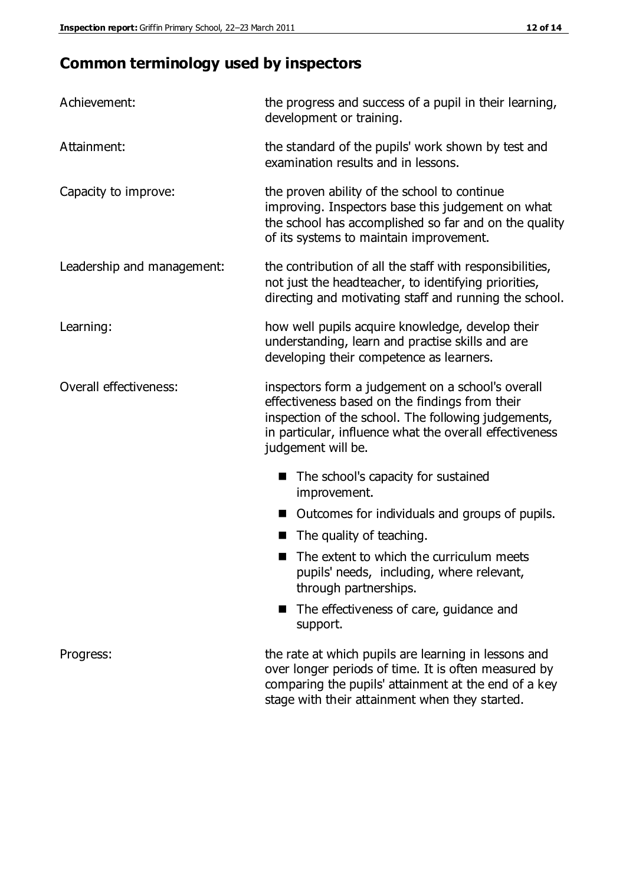## **Common terminology used by inspectors**

| Achievement:               | the progress and success of a pupil in their learning,<br>development or training.                                                                                                                                                          |  |  |
|----------------------------|---------------------------------------------------------------------------------------------------------------------------------------------------------------------------------------------------------------------------------------------|--|--|
| Attainment:                | the standard of the pupils' work shown by test and<br>examination results and in lessons.                                                                                                                                                   |  |  |
| Capacity to improve:       | the proven ability of the school to continue<br>improving. Inspectors base this judgement on what<br>the school has accomplished so far and on the quality<br>of its systems to maintain improvement.                                       |  |  |
| Leadership and management: | the contribution of all the staff with responsibilities,<br>not just the headteacher, to identifying priorities,<br>directing and motivating staff and running the school.                                                                  |  |  |
| Learning:                  | how well pupils acquire knowledge, develop their<br>understanding, learn and practise skills and are<br>developing their competence as learners.                                                                                            |  |  |
| Overall effectiveness:     | inspectors form a judgement on a school's overall<br>effectiveness based on the findings from their<br>inspection of the school. The following judgements,<br>in particular, influence what the overall effectiveness<br>judgement will be. |  |  |
|                            | The school's capacity for sustained<br>improvement.                                                                                                                                                                                         |  |  |
|                            | Outcomes for individuals and groups of pupils.                                                                                                                                                                                              |  |  |
|                            | The quality of teaching.                                                                                                                                                                                                                    |  |  |
|                            | The extent to which the curriculum meets<br>pupils' needs, including, where relevant,<br>through partnerships.                                                                                                                              |  |  |
|                            | The effectiveness of care, guidance and<br>support.                                                                                                                                                                                         |  |  |
| Progress:                  | the rate at which pupils are learning in lessons and<br>over longer periods of time. It is often measured by<br>comparing the pupils' attainment at the end of a key                                                                        |  |  |

stage with their attainment when they started.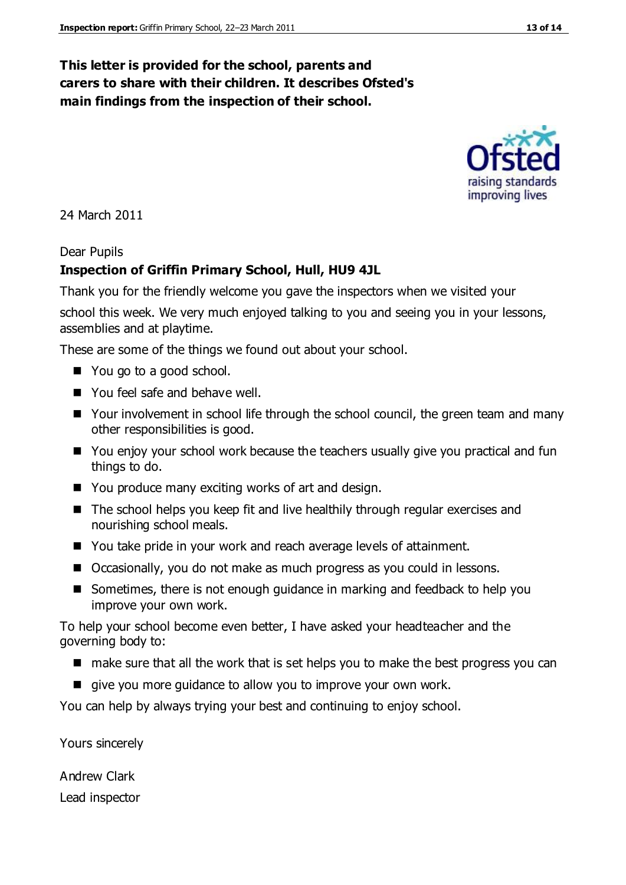#### **This letter is provided for the school, parents and carers to share with their children. It describes Ofsted's main findings from the inspection of their school.**

24 March 2011

#### Dear Pupils

#### **Inspection of Griffin Primary School, Hull, HU9 4JL**

Thank you for the friendly welcome you gave the inspectors when we visited your

school this week. We very much enjoyed talking to you and seeing you in your lessons, assemblies and at playtime.

These are some of the things we found out about your school.

- You go to a good school.
- You feel safe and behave well.
- Your involvement in school life through the school council, the green team and many other responsibilities is good.
- You enjoy your school work because the teachers usually give you practical and fun things to do.
- You produce many exciting works of art and design.
- The school helps you keep fit and live healthily through regular exercises and nourishing school meals.
- You take pride in your work and reach average levels of attainment.
- Occasionally, you do not make as much progress as you could in lessons.
- Sometimes, there is not enough guidance in marking and feedback to help you improve your own work.

To help your school become even better, I have asked your headteacher and the governing body to:

- $\blacksquare$  make sure that all the work that is set helps you to make the best progress you can
- qive you more quidance to allow you to improve your own work.

You can help by always trying your best and continuing to enjoy school.

Yours sincerely

Andrew Clark Lead inspector